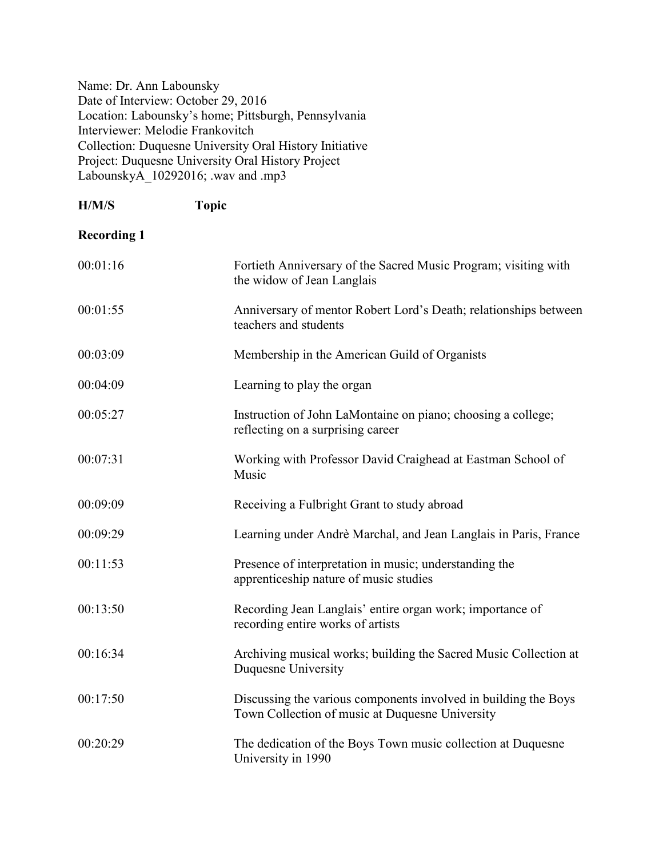Name: Dr. Ann Labounsky Date of Interview: October 29, 2016 Location: Labounsky's home; Pittsburgh, Pennsylvania Interviewer: Melodie Frankovitch Collection: Duquesne University Oral History Initiative Project: Duquesne University Oral History Project LabounskyA $\overline{10292016}$ ; .wav and .mp3

| H/M/S              | <b>Topic</b>                                                                                                       |
|--------------------|--------------------------------------------------------------------------------------------------------------------|
| <b>Recording 1</b> |                                                                                                                    |
| 00:01:16           | Fortieth Anniversary of the Sacred Music Program; visiting with<br>the widow of Jean Langlais                      |
| 00:01:55           | Anniversary of mentor Robert Lord's Death; relationships between<br>teachers and students                          |
| 00:03:09           | Membership in the American Guild of Organists                                                                      |
| 00:04:09           | Learning to play the organ                                                                                         |
| 00:05:27           | Instruction of John LaMontaine on piano; choosing a college;<br>reflecting on a surprising career                  |
| 00:07:31           | Working with Professor David Craighead at Eastman School of<br>Music                                               |
| 00:09:09           | Receiving a Fulbright Grant to study abroad                                                                        |
| 00:09:29           | Learning under Andrè Marchal, and Jean Langlais in Paris, France                                                   |
| 00:11:53           | Presence of interpretation in music; understanding the<br>apprenticeship nature of music studies                   |
| 00:13:50           | Recording Jean Langlais' entire organ work; importance of<br>recording entire works of artists                     |
| 00:16:34           | Archiving musical works; building the Sacred Music Collection at<br>Duquesne University                            |
| 00:17:50           | Discussing the various components involved in building the Boys<br>Town Collection of music at Duquesne University |
| 00:20:29           | The dedication of the Boys Town music collection at Duquesne<br>University in 1990                                 |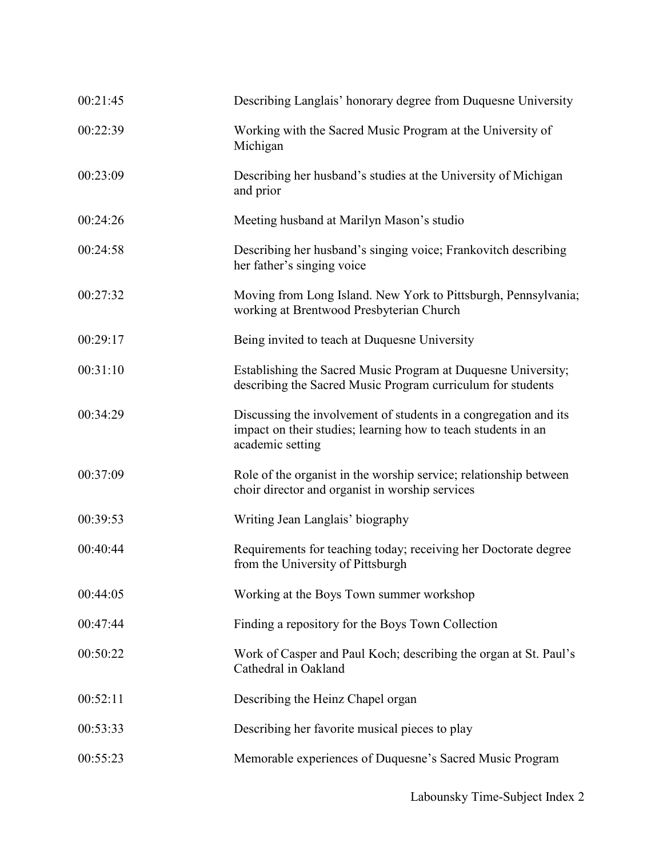| 00:21:45 | Describing Langlais' honorary degree from Duquesne University                                                                                         |
|----------|-------------------------------------------------------------------------------------------------------------------------------------------------------|
| 00:22:39 | Working with the Sacred Music Program at the University of<br>Michigan                                                                                |
| 00:23:09 | Describing her husband's studies at the University of Michigan<br>and prior                                                                           |
| 00:24:26 | Meeting husband at Marilyn Mason's studio                                                                                                             |
| 00:24:58 | Describing her husband's singing voice; Frankovitch describing<br>her father's singing voice                                                          |
| 00:27:32 | Moving from Long Island. New York to Pittsburgh, Pennsylvania;<br>working at Brentwood Presbyterian Church                                            |
| 00:29:17 | Being invited to teach at Duquesne University                                                                                                         |
| 00:31:10 | Establishing the Sacred Music Program at Duquesne University;<br>describing the Sacred Music Program curriculum for students                          |
| 00:34:29 | Discussing the involvement of students in a congregation and its<br>impact on their studies; learning how to teach students in an<br>academic setting |
| 00:37:09 | Role of the organist in the worship service; relationship between<br>choir director and organist in worship services                                  |
| 00:39:53 | Writing Jean Langlais' biography                                                                                                                      |
| 00:40:44 | Requirements for teaching today; receiving her Doctorate degree<br>from the University of Pittsburgh                                                  |
| 00:44:05 | Working at the Boys Town summer workshop                                                                                                              |
| 00:47:44 | Finding a repository for the Boys Town Collection                                                                                                     |
| 00:50:22 | Work of Casper and Paul Koch; describing the organ at St. Paul's<br>Cathedral in Oakland                                                              |
| 00:52:11 | Describing the Heinz Chapel organ                                                                                                                     |
| 00:53:33 | Describing her favorite musical pieces to play                                                                                                        |
| 00:55:23 | Memorable experiences of Duquesne's Sacred Music Program                                                                                              |